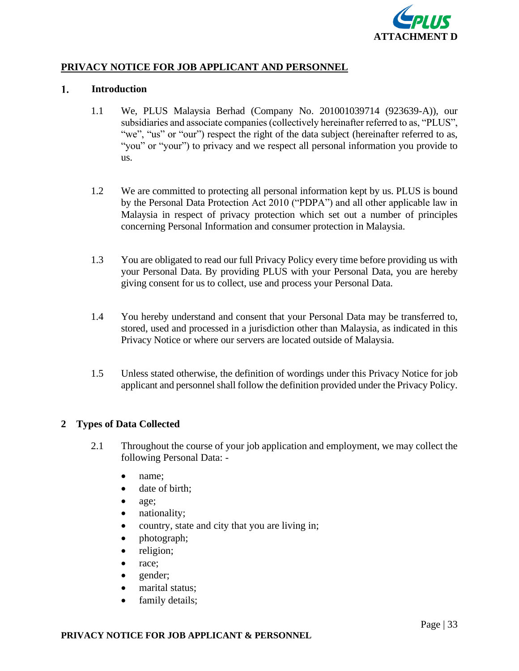

# **PRIVACY NOTICE FOR JOB APPLICANT AND PERSONNEL**

#### $1.$ **Introduction**

- 1.1 We, PLUS Malaysia Berhad (Company No. 201001039714 (923639-A)), our subsidiaries and associate companies (collectively hereinafter referred to as, "PLUS", "we", "us" or "our") respect the right of the data subject (hereinafter referred to as, "you" or "your") to privacy and we respect all personal information you provide to us.
- 1.2 We are committed to protecting all personal information kept by us. PLUS is bound by the Personal Data Protection Act 2010 ("PDPA") and all other applicable law in Malaysia in respect of privacy protection which set out a number of principles concerning Personal Information and consumer protection in Malaysia.
- 1.3 You are obligated to read our full Privacy Policy every time before providing us with your Personal Data. By providing PLUS with your Personal Data, you are hereby giving consent for us to collect, use and process your Personal Data.
- 1.4 You hereby understand and consent that your Personal Data may be transferred to, stored, used and processed in a jurisdiction other than Malaysia, as indicated in this Privacy Notice or where our servers are located outside of Malaysia.
- 1.5 Unless stated otherwise, the definition of wordings under this Privacy Notice for job applicant and personnel shall follow the definition provided under the Privacy Policy.

## **2 Types of Data Collected**

- 2.1 Throughout the course of your job application and employment, we may collect the following Personal Data: -
	- name;
	- date of birth;
	- age;
	- nationality;
	- country, state and city that you are living in;
	- photograph;
	- religion;
	- race;
	- gender;
	- marital status;
	- family details;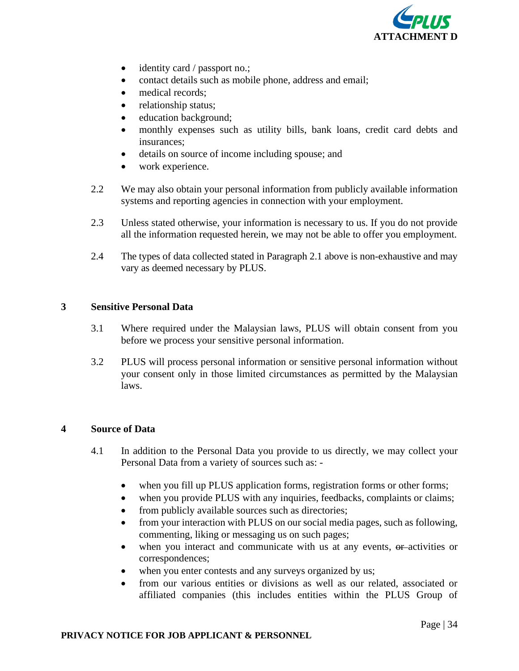

- identity card / passport no.;
- contact details such as mobile phone, address and email;
- medical records:
- relationship status;
- education background;
- monthly expenses such as utility bills, bank loans, credit card debts and insurances;
- details on source of income including spouse; and
- work experience.
- 2.2 We may also obtain your personal information from publicly available information systems and reporting agencies in connection with your employment.
- 2.3 Unless stated otherwise, your information is necessary to us. If you do not provide all the information requested herein, we may not be able to offer you employment.
- 2.4 The types of data collected stated in Paragraph 2.1 above is non-exhaustive and may vary as deemed necessary by PLUS.

## **3 Sensitive Personal Data**

- 3.1 Where required under the Malaysian laws, PLUS will obtain consent from you before we process your sensitive personal information.
- 3.2 PLUS will process personal information or sensitive personal information without your consent only in those limited circumstances as permitted by the Malaysian laws.

## **4 Source of Data**

- 4.1 In addition to the Personal Data you provide to us directly, we may collect your Personal Data from a variety of sources such as: -
	- when you fill up PLUS application forms, registration forms or other forms;
	- when you provide PLUS with any inquiries, feedbacks, complaints or claims;
	- from publicly available sources such as directories;
	- from your interaction with PLUS on our social media pages, such as following, commenting, liking or messaging us on such pages;
	- when you interact and communicate with us at any events,  $\theta$ -activities or correspondences;
	- when you enter contests and any surveys organized by us;
	- from our various entities or divisions as well as our related, associated or affiliated companies (this includes entities within the PLUS Group of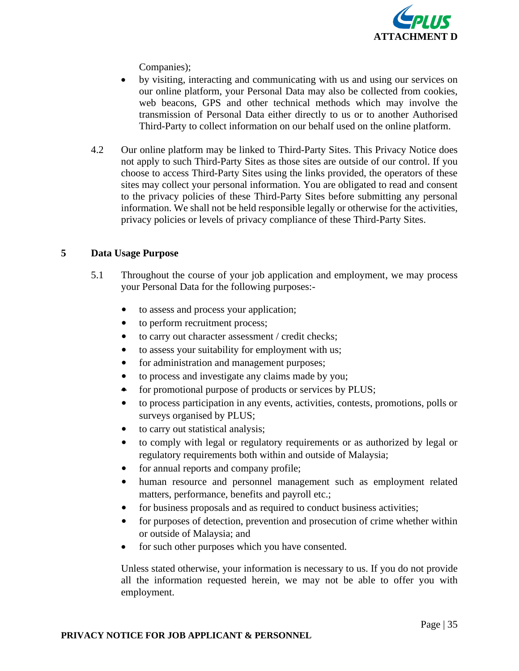

Companies);

- by visiting, interacting and communicating with us and using our services on our online platform, your Personal Data may also be collected from cookies, web beacons, GPS and other technical methods which may involve the transmission of Personal Data either directly to us or to another Authorised Third-Party to collect information on our behalf used on the online platform.
- 4.2 Our online platform may be linked to Third-Party Sites. This Privacy Notice does not apply to such Third-Party Sites as those sites are outside of our control. If you choose to access Third-Party Sites using the links provided, the operators of these sites may collect your personal information. You are obligated to read and consent to the privacy policies of these Third-Party Sites before submitting any personal information. We shall not be held responsible legally or otherwise for the activities, privacy policies or levels of privacy compliance of these Third-Party Sites.

# **5 Data Usage Purpose**

- 5.1 Throughout the course of your job application and employment, we may process your Personal Data for the following purposes:-
	- to assess and process your application;
	- to perform recruitment process;
	- to carry out character assessment / credit checks;
	- to assess your suitability for employment with us;
	- for administration and management purposes;
	- to process and investigate any claims made by you;
	- for promotional purpose of products or services by PLUS;
	- to process participation in any events, activities, contests, promotions, polls or surveys organised by PLUS;
	- to carry out statistical analysis;
	- to comply with legal or regulatory requirements or as authorized by legal or regulatory requirements both within and outside of Malaysia;
	- for annual reports and company profile;
	- human resource and personnel management such as employment related matters, performance, benefits and payroll etc.;
	- for business proposals and as required to conduct business activities;
	- for purposes of detection, prevention and prosecution of crime whether within or outside of Malaysia; and
	- for such other purposes which you have consented.

Unless stated otherwise, your information is necessary to us. If you do not provide all the information requested herein, we may not be able to offer you with employment.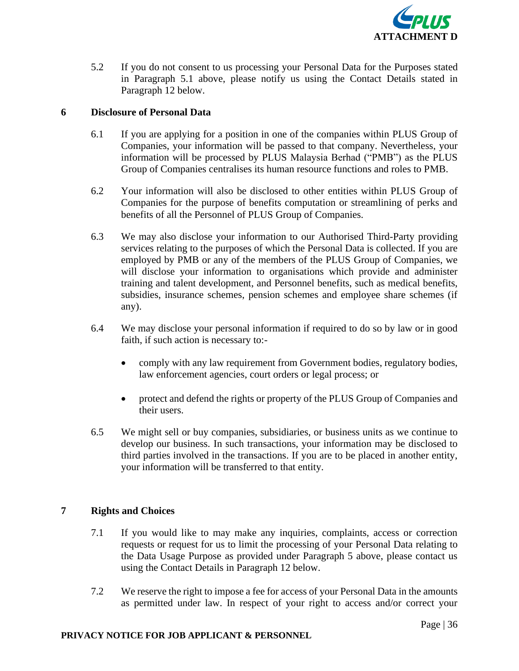

5.2 If you do not consent to us processing your Personal Data for the Purposes stated in Paragraph 5.1 above, please notify us using the Contact Details stated in Paragraph 12 below.

# **6 Disclosure of Personal Data**

- 6.1 If you are applying for a position in one of the companies within PLUS Group of Companies, your information will be passed to that company. Nevertheless, your information will be processed by PLUS Malaysia Berhad ("PMB") as the PLUS Group of Companies centralises its human resource functions and roles to PMB.
- 6.2 Your information will also be disclosed to other entities within PLUS Group of Companies for the purpose of benefits computation or streamlining of perks and benefits of all the Personnel of PLUS Group of Companies.
- 6.3 We may also disclose your information to our Authorised Third-Party providing services relating to the purposes of which the Personal Data is collected. If you are employed by PMB or any of the members of the PLUS Group of Companies, we will disclose your information to organisations which provide and administer training and talent development, and Personnel benefits, such as medical benefits, subsidies, insurance schemes, pension schemes and employee share schemes (if any).
- 6.4 We may disclose your personal information if required to do so by law or in good faith, if such action is necessary to:-
	- comply with any law requirement from Government bodies, regulatory bodies, law enforcement agencies, court orders or legal process; or
	- protect and defend the rights or property of the PLUS Group of Companies and their users.
- 6.5 We might sell or buy companies, subsidiaries, or business units as we continue to develop our business. In such transactions, your information may be disclosed to third parties involved in the transactions. If you are to be placed in another entity, your information will be transferred to that entity.

## **7 Rights and Choices**

- 7.1 If you would like to may make any inquiries, complaints, access or correction requests or request for us to limit the processing of your Personal Data relating to the Data Usage Purpose as provided under Paragraph 5 above, please contact us using the Contact Details in Paragraph 12 below.
- 7.2 We reserve the right to impose a fee for access of your Personal Data in the amounts as permitted under law. In respect of your right to access and/or correct your

#### **PRIVACY NOTICE FOR JOB APPLICANT & PERSONNEL**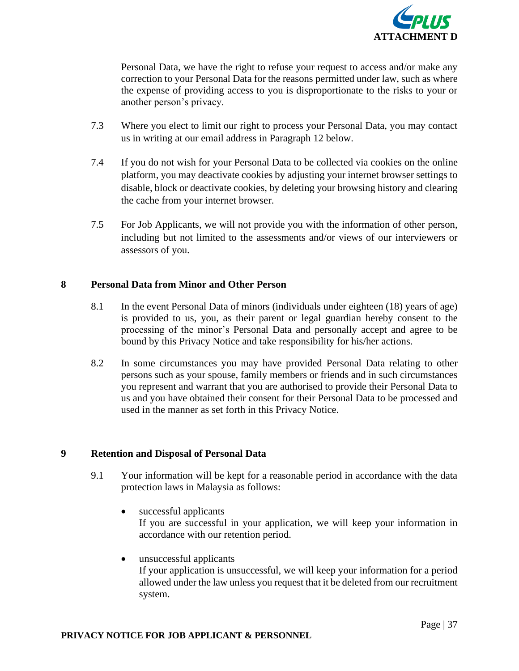

Personal Data, we have the right to refuse your request to access and/or make any correction to your Personal Data for the reasons permitted under law, such as where the expense of providing access to you is disproportionate to the risks to your or another person's privacy.

- 7.3 Where you elect to limit our right to process your Personal Data, you may contact us in writing at our email address in Paragraph 12 below.
- 7.4 If you do not wish for your Personal Data to be collected via cookies on the online platform, you may deactivate cookies by adjusting your internet browser settings to disable, block or deactivate cookies, by deleting your browsing history and clearing the cache from your internet browser.
- 7.5 For Job Applicants, we will not provide you with the information of other person, including but not limited to the assessments and/or views of our interviewers or assessors of you.

# **8 Personal Data from Minor and Other Person**

- 8.1 In the event Personal Data of minors (individuals under eighteen (18) years of age) is provided to us, you, as their parent or legal guardian hereby consent to the processing of the minor's Personal Data and personally accept and agree to be bound by this Privacy Notice and take responsibility for his/her actions.
- 8.2 In some circumstances you may have provided Personal Data relating to other persons such as your spouse, family members or friends and in such circumstances you represent and warrant that you are authorised to provide their Personal Data to us and you have obtained their consent for their Personal Data to be processed and used in the manner as set forth in this Privacy Notice.

## **9 Retention and Disposal of Personal Data**

- 9.1 Your information will be kept for a reasonable period in accordance with the data protection laws in Malaysia as follows:
	- successful applicants If you are successful in your application, we will keep your information in accordance with our retention period.
	- unsuccessful applicants If your application is unsuccessful, we will keep your information for a period allowed under the law unless you request that it be deleted from our recruitment system.